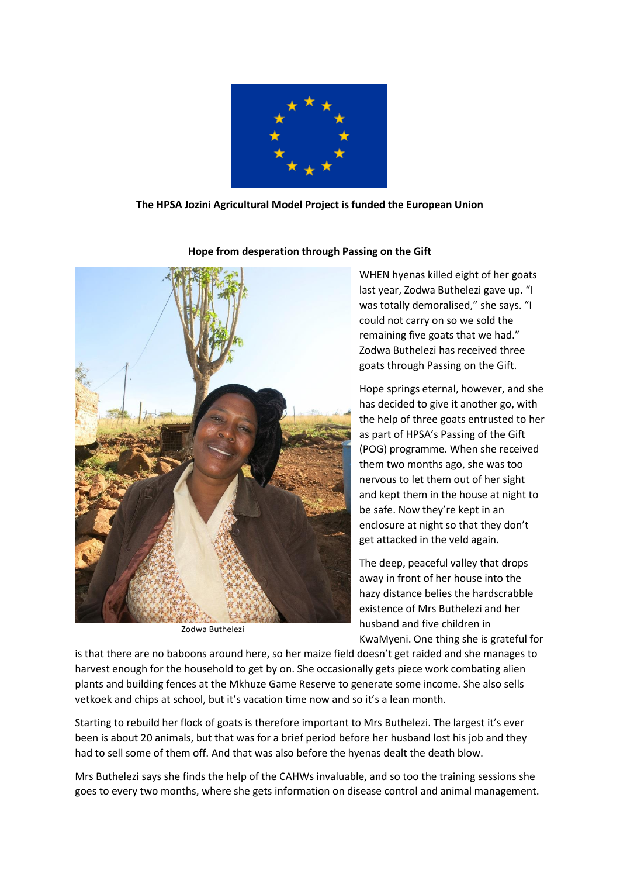

## **The HPSA Jozini Agricultural Model Project is funded the European Union**



**Hope from desperation through Passing on the Gift**

Zodwa Buthelezi

WHEN hyenas killed eight of her goats last year, Zodwa Buthelezi gave up. "I was totally demoralised," she says. "I could not carry on so we sold the remaining five goats that we had." Zodwa Buthelezi has received three goats through Passing on the Gift.

Hope springs eternal, however, and she has decided to give it another go, with the help of three goats entrusted to her as part of HPSA's Passing of the Gift (POG) programme. When she received them two months ago, she was too nervous to let them out of her sight and kept them in the house at night to be safe. Now they're kept in an enclosure at night so that they don't get attacked in the veld again.

The deep, peaceful valley that drops away in front of her house into the hazy distance belies the hardscrabble existence of Mrs Buthelezi and her husband and five children in KwaMyeni. One thing she is grateful for

is that there are no baboons around here, so her maize field doesn't get raided and she manages to harvest enough for the household to get by on. She occasionally gets piece work combating alien plants and building fences at the Mkhuze Game Reserve to generate some income. She also sells vetkoek and chips at school, but it's vacation time now and so it's a lean month.

Starting to rebuild her flock of goats is therefore important to Mrs Buthelezi. The largest it's ever been is about 20 animals, but that was for a brief period before her husband lost his job and they had to sell some of them off. And that was also before the hyenas dealt the death blow.

Mrs Buthelezi says she finds the help of the CAHWs invaluable, and so too the training sessions she goes to every two months, where she gets information on disease control and animal management.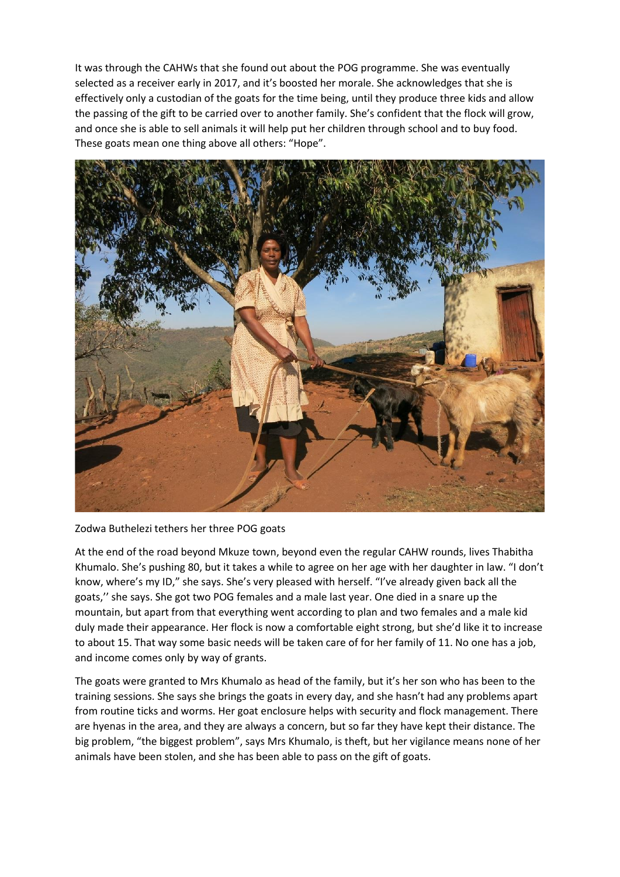It was through the CAHWs that she found out about the POG programme. She was eventually selected as a receiver early in 2017, and it's boosted her morale. She acknowledges that she is effectively only a custodian of the goats for the time being, until they produce three kids and allow the passing of the gift to be carried over to another family. She's confident that the flock will grow, and once she is able to sell animals it will help put her children through school and to buy food. These goats mean one thing above all others: "Hope".



Zodwa Buthelezi tethers her three POG goats

At the end of the road beyond Mkuze town, beyond even the regular CAHW rounds, lives Thabitha Khumalo. She's pushing 80, but it takes a while to agree on her age with her daughter in law. "I don't know, where's my ID," she says. She's very pleased with herself. "I've already given back all the goats,'' she says. She got two POG females and a male last year. One died in a snare up the mountain, but apart from that everything went according to plan and two females and a male kid duly made their appearance. Her flock is now a comfortable eight strong, but she'd like it to increase to about 15. That way some basic needs will be taken care of for her family of 11. No one has a job, and income comes only by way of grants.

The goats were granted to Mrs Khumalo as head of the family, but it's her son who has been to the training sessions. She says she brings the goats in every day, and she hasn't had any problems apart from routine ticks and worms. Her goat enclosure helps with security and flock management. There are hyenas in the area, and they are always a concern, but so far they have kept their distance. The big problem, "the biggest problem", says Mrs Khumalo, is theft, but her vigilance means none of her animals have been stolen, and she has been able to pass on the gift of goats.